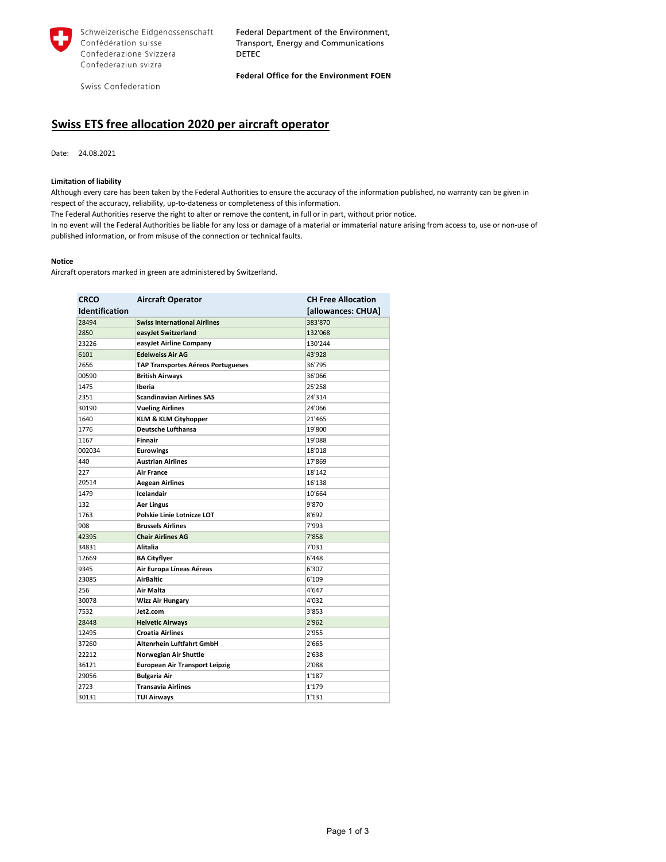

Schweizerische Eidgenossenschaft Confédération suisse Confederazione Svizzera Confederaziun svizra

Federal Department of the Environment, Transport, Energy and Communications **DETEC** 

Swiss Confederation

Federal Office for the Environment FOEN

## **Swiss ETS free allocation 2020 per aircraft operator**

Date: 24.08.2021

## **Limitation of liability**

Although every care has been taken by the Federal Authorities to ensure the accuracy of the information published, no warranty can be given in respect of the accuracy, reliability, up-to-dateness or completeness of this information.

The Federal Authorities reserve the right to alter or remove the content, in full or in part, without prior notice.

In no event will the Federal Authorities be liable for any loss or damage of a material or immaterial nature arising from access to, use or non-use of published information, or from misuse of the connection or technical faults.

## **Notice**

Aircraft operators marked in green are administered by Switzerland.

| <b>CRCO</b>           | <b>Aircraft Operator</b>                  | <b>CH Free Allocation</b> |
|-----------------------|-------------------------------------------|---------------------------|
| <b>Identification</b> |                                           | [allowances: CHUA]        |
| 28494                 | <b>Swiss International Airlines</b>       | 383'870                   |
| 2850                  | easyJet Switzerland                       | 132'068                   |
| 23226                 | easyJet Airline Company                   | 130'244                   |
| 6101                  | <b>Edelweiss Air AG</b>                   | 43'928                    |
| 2656                  | <b>TAP Transportes Aéreos Portugueses</b> | 36'795                    |
| 00590                 | <b>British Airways</b>                    | 36'066                    |
| 1475                  | Iberia                                    | 25'258                    |
| 2351                  | <b>Scandinavian Airlines SAS</b>          | 24'314                    |
| 30190                 | <b>Vueling Airlines</b>                   | 24'066                    |
| 1640                  | <b>KLM &amp; KLM Cityhopper</b>           | 21'465                    |
| 1776                  | <b>Deutsche Lufthansa</b>                 | 19'800                    |
| 1167                  | <b>Finnair</b>                            | 19'088                    |
| 002034                | <b>Eurowings</b>                          | 18'018                    |
| 440                   | <b>Austrian Airlines</b>                  | 17'869                    |
| 227                   | <b>Air France</b>                         | 18'142                    |
| 20514                 | <b>Aegean Airlines</b>                    | 16'138                    |
| 1479                  | Icelandair                                | 10'664                    |
| 132                   | <b>Aer Lingus</b>                         | 9'870                     |
| 1763                  | <b>Polskie Linie Lotnicze LOT</b>         | 8'692                     |
| 908                   | <b>Brussels Airlines</b>                  | 7'993                     |
| 42395                 | <b>Chair Airlines AG</b>                  | 7'858                     |
| 34831                 | <b>Alitalia</b>                           | 7'031                     |
| 12669                 | <b>BA Cityflyer</b>                       | 6'448                     |
| 9345                  | Air Europa Líneas Aéreas                  | 6'307                     |
| 23085                 | <b>AirBaltic</b>                          | 6'109                     |
| 256                   | Air Malta                                 | 4'647                     |
| 30078                 | <b>Wizz Air Hungary</b>                   | 4'032                     |
| 7532                  | Jet2.com                                  | 3'853                     |
| 28448                 | <b>Helvetic Airways</b>                   | 2'962                     |
| 12495                 | <b>Croatia Airlines</b>                   | 2'955                     |
| 37260                 | <b>Altenrhein Luftfahrt GmbH</b>          | 2'665                     |
| 22212                 | Norwegian Air Shuttle                     | 2'638                     |
| 36121                 | <b>European Air Transport Leipzig</b>     | 2'088                     |
| 29056                 | <b>Bulgaria Air</b>                       | 1'187                     |
| 2723                  | <b>Transavia Airlines</b>                 | 1'179                     |
| 30131                 | <b>TUI Airways</b>                        | 1'131                     |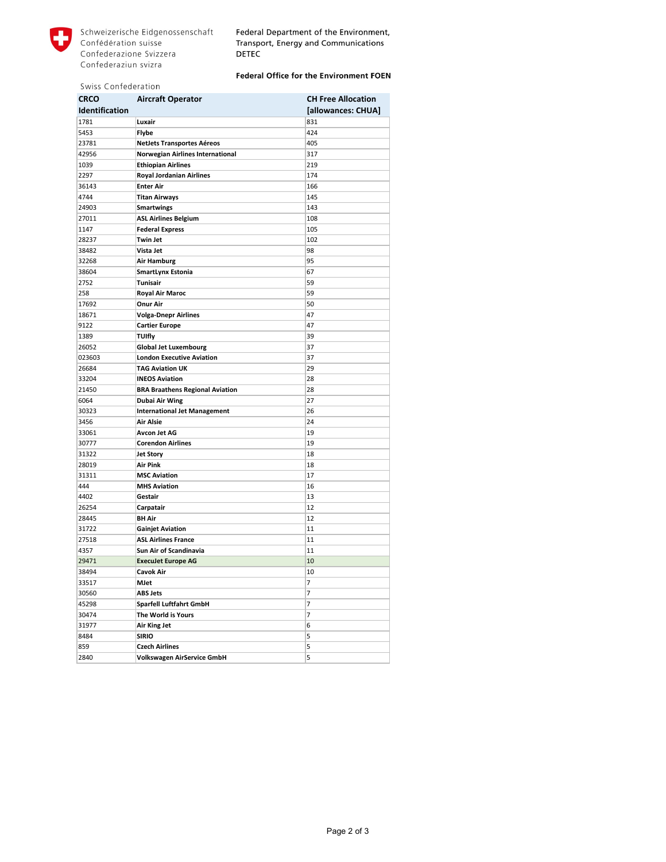

Federal Department of the Environment, Transport, Energy and Communications **DETEC** 

## Federal Office for the Environment FOEN

|  |  | Swiss Confederation |
|--|--|---------------------|
|--|--|---------------------|

| <b>CRCO</b>           | <b>Aircraft Operator</b>                | <b>CH Free Allocation</b> |
|-----------------------|-----------------------------------------|---------------------------|
| <b>Identification</b> |                                         | [allowances: CHUA]        |
| 1781                  | Luxair                                  | 831                       |
| 5453                  | <b>Flybe</b>                            | 424                       |
| 23781                 | <b>NetJets Transportes Aéreos</b>       | 405                       |
| 42956                 | <b>Norwegian Airlines International</b> | 317                       |
| 1039                  | <b>Ethiopian Airlines</b>               | 219                       |
| 2297                  | <b>Royal Jordanian Airlines</b>         | 174                       |
| 36143                 | <b>Enter Air</b>                        | 166                       |
| 4744                  | <b>Titan Airways</b>                    | 145                       |
| 24903                 | <b>Smartwings</b>                       | 143                       |
| 27011                 | <b>ASL Airlines Belgium</b>             | 108                       |
| 1147                  | <b>Federal Express</b>                  | 105                       |
| 28237                 | <b>Twin Jet</b>                         | 102                       |
| 38482                 | Vista Jet                               | 98                        |
| 32268                 | <b>Air Hamburg</b>                      | 95                        |
| 38604                 | <b>SmartLynx Estonia</b>                | 67                        |
| 2752                  | <b>Tunisair</b>                         | 59                        |
| 258                   | <b>Royal Air Maroc</b>                  | 59                        |
| 17692                 | <b>Onur Air</b>                         | 50                        |
| 18671                 | <b>Volga-Dnepr Airlines</b>             | 47                        |
| 9122                  | <b>Cartier Europe</b>                   | 47                        |
| 1389                  | <b>TUIfly</b>                           | 39                        |
| 26052                 | <b>Global Jet Luxembourg</b>            | 37                        |
| 023603                | <b>London Executive Aviation</b>        | 37                        |
| 26684                 | <b>TAG Aviation UK</b>                  | 29                        |
| 33204                 | <b>INEOS Aviation</b>                   | 28                        |
| 21450                 | <b>BRA Braathens Regional Aviation</b>  | 28                        |
| 6064                  | <b>Dubai Air Wing</b>                   | 27                        |
| 30323                 | <b>International Jet Management</b>     | 26                        |
| 3456                  | <b>Air Alsie</b>                        | 24                        |
| 33061                 | <b>Avcon Jet AG</b>                     | 19                        |
| 30777                 | <b>Corendon Airlines</b>                | 19                        |
| 31322                 | <b>Jet Story</b>                        | 18                        |
| 28019                 | <b>Air Pink</b>                         | 18                        |
| 31311                 | <b>MSC Aviation</b>                     | 17                        |
| 444                   | <b>MHS Aviation</b>                     | 16                        |
| 4402                  | Gestair                                 | 13                        |
| 26254                 | Carpatair                               | 12                        |
| 28445                 | <b>BH Air</b>                           | 12                        |
| 31722                 | <b>Gainjet Aviation</b>                 | 11                        |
| 27518                 | <b>ASL Airlines France</b>              | 11                        |
| 4357                  | <b>Sun Air of Scandinavia</b>           | 11                        |
| 29471                 | <b>Execulet Europe AG</b>               | 10                        |
| 38494                 | Cavok Air                               | 10                        |
| 33517                 | <b>MJet</b>                             | 7                         |
| 30560                 | ABS Jets                                | 7                         |
| 45298                 | <b>Sparfell Luftfahrt GmbH</b>          | 7                         |
| 30474                 | The World is Yours                      | 7                         |
| 31977                 | Air King Jet                            | 6                         |
| 8484                  | <b>SIRIO</b>                            | 5                         |
| 859                   | <b>Czech Airlines</b>                   | 5                         |
| 2840                  | Volkswagen AirService GmbH              | 5                         |